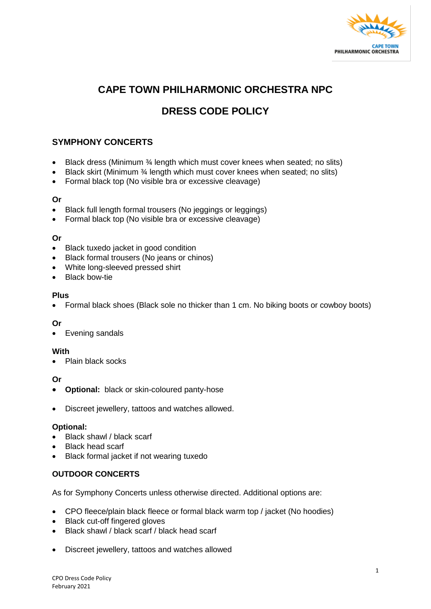

## **CAPE TOWN PHILHARMONIC ORCHESTRA NPC**

# **DRESS CODE POLICY**

## **SYMPHONY CONCERTS**

- Black dress (Minimum 3⁄4 length which must cover knees when seated; no slits)
- Black skirt (Minimum 3/4 length which must cover knees when seated; no slits)
- Formal black top (No visible bra or excessive cleavage)

#### **Or**

- Black full length formal trousers (No jeggings or leggings)
- Formal black top (No visible bra or excessive cleavage)

## **Or**

- Black tuxedo jacket in good condition
- Black formal trousers (No jeans or chinos)
- White long-sleeved pressed shirt
- Black bow-tie

#### **Plus**

• Formal black shoes (Black sole no thicker than 1 cm. No biking boots or cowboy boots)

## **Or**

Evening sandals

#### **With**

• Plain black socks

## **Or**

- **Optional:** black or skin-coloured panty-hose
- Discreet jewellery, tattoos and watches allowed.

#### **Optional:**

- Black shawl / black scarf
- Black head scarf
- Black formal jacket if not wearing tuxedo

## **OUTDOOR CONCERTS**

As for Symphony Concerts unless otherwise directed. Additional options are:

- CPO fleece/plain black fleece or formal black warm top / jacket (No hoodies)
- Black cut-off fingered gloves
- Black shawl / black scarf / black head scarf
- Discreet jewellery, tattoos and watches allowed